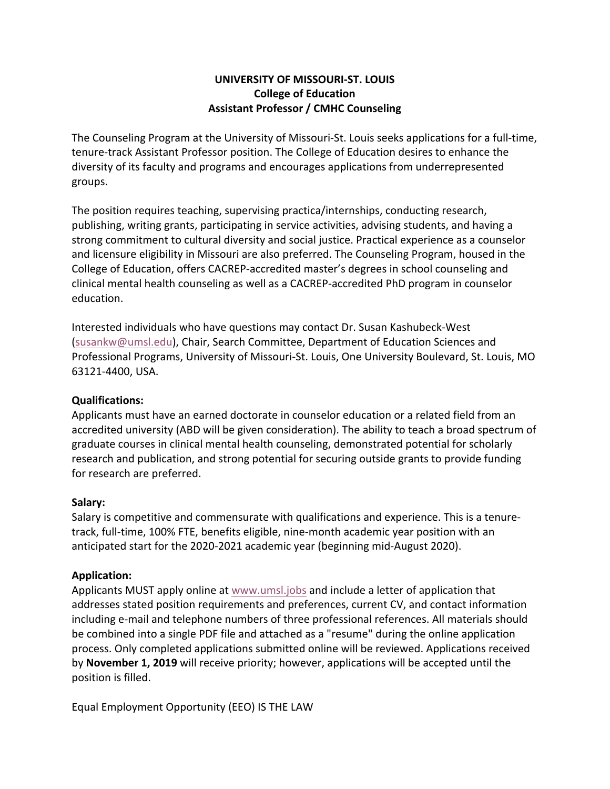## **UNIVERSITY OF MISSOURI-ST. LOUIS College of Education Assistant Professor / CMHC Counseling**

The Counseling Program at the University of Missouri-St. Louis seeks applications for a full-time, tenure-track Assistant Professor position. The College of Education desires to enhance the diversity of its faculty and programs and encourages applications from underrepresented groups.

The position requires teaching, supervising practica/internships, conducting research, publishing, writing grants, participating in service activities, advising students, and having a strong commitment to cultural diversity and social justice. Practical experience as a counselor and licensure eligibility in Missouri are also preferred. The Counseling Program, housed in the College of Education, offers CACREP-accredited master's degrees in school counseling and clinical mental health counseling as well as a CACREP-accredited PhD program in counselor education.

Interested individuals who have questions may contact Dr. Susan Kashubeck-West (susankw@umsl.edu), Chair, Search Committee, Department of Education Sciences and Professional Programs, University of Missouri-St. Louis, One University Boulevard, St. Louis, MO 63121-4400, USA.

## **Qualifications:**

Applicants must have an earned doctorate in counselor education or a related field from an accredited university (ABD will be given consideration). The ability to teach a broad spectrum of graduate courses in clinical mental health counseling, demonstrated potential for scholarly research and publication, and strong potential for securing outside grants to provide funding for research are preferred.

## **Salary:**

Salary is competitive and commensurate with qualifications and experience. This is a tenuretrack, full-time, 100% FTE, benefits eligible, nine-month academic year position with an anticipated start for the 2020-2021 academic year (beginning mid-August 2020).

## **Application:**

Applicants MUST apply online at www.umsl.jobs and include a letter of application that addresses stated position requirements and preferences, current CV, and contact information including e-mail and telephone numbers of three professional references. All materials should be combined into a single PDF file and attached as a "resume" during the online application process. Only completed applications submitted online will be reviewed. Applications received by **November 1, 2019** will receive priority; however, applications will be accepted until the position is filled.

Equal Employment Opportunity (EEO) IS THE LAW